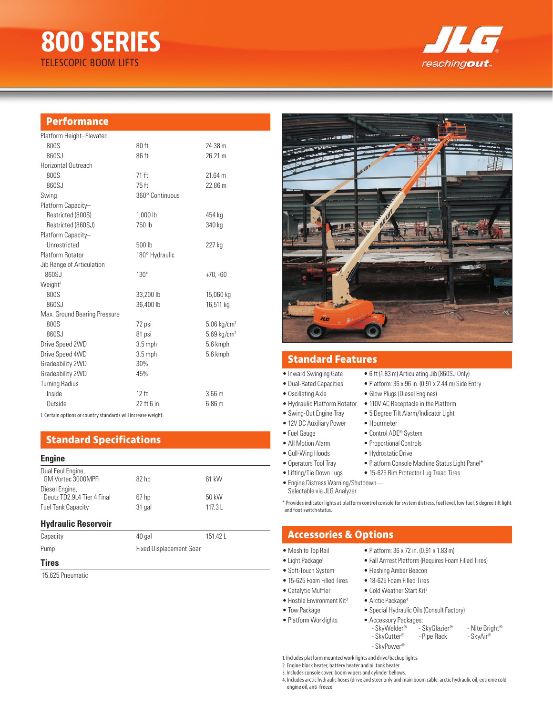# **800 SERIES** TELESCOPIC BOOM LIFTS



#### **Performance**

| Platform Height-Elevated     |                 |                           |
|------------------------------|-----------------|---------------------------|
| 800S                         | 80 ft           | 24.38 m                   |
| 860SJ                        | 86 ft           | 26.21 m                   |
| Horizontal Outreach          |                 |                           |
| 800S                         | 71 ft           | 21.64 m                   |
| 860SJ                        | 75 ft           | 22.86 m                   |
| Swing                        | 360° Continuous |                           |
| Platform Capacity-           |                 |                           |
| Restricted (800S)            | 1,000 lb        | 454 kg                    |
| Restricted (860SJ)           | 750 lb          | 340 kg                    |
| Platform Capacity-           |                 |                           |
| Unrestricted                 | 500 lb          | 227 kg                    |
| Platform Rotator             | 180° Hydraulic  |                           |
| Jib Range of Articulation    |                 |                           |
| 860SJ                        | $130^\circ$     | $+70, -60$                |
| Weight <sup>1</sup>          |                 |                           |
| 800S                         | 33,200 lb       | 15,060 kg                 |
| 860SJ                        | 36,400 lb       | 16,511 kg                 |
| Max. Ground Bearing Pressure |                 |                           |
| 800S                         | 72 psi          | $5.06$ kg/cm <sup>2</sup> |
| 860SJ                        | 81 psi          | $5.69$ kg/cm <sup>2</sup> |
| Drive Speed 2WD              | $3.5$ mph       | 5.6 kmph                  |
| Drive Speed 4WD              | $3.5$ mph       | 5.6 kmph                  |
| Gradeability 2WD             | 30%             |                           |
| Gradeability 2WD             | 45%             |                           |
| <b>Turning Radius</b>        |                 |                           |
| Inside                       | $12$ ft         | 3.66 <sub>m</sub>         |
| Outside                      | 22 ft 6 in.     | 6.86 m                    |
|                              |                 |                           |

1. Certain options or country standards will increase weight.

# **Standard Specifications**

#### **Engine**

| Dual Feul Engine,<br>GM Vortec 3000MPFI      | 82 hp  | 61 kW  |
|----------------------------------------------|--------|--------|
| Diesel Engine,<br>Deutz TD2.9L4 Tier 4 Final | 67 hp  | 50 kW  |
| <b>Fuel Tank Capacity</b>                    | 31 gal | 117.31 |

#### **Hydraulic Reservoir**

| Capacity     | 40 gal                         | 151.42 L |
|--------------|--------------------------------|----------|
| Pump         | <b>Fixed Displacement Gear</b> |          |
| <b>Tires</b> |                                |          |

#### 15.625 Pneumatic



#### **Standard Features**

- Inward Swinging Gate 6 ft (1.83 m) Articulating Jib (860SJ Only)
- Dual-Rated Capacities Platform: 36 x 96 in. (0.91 x 2.44 m) Side Entry
- Oscillating Axle
- Hydraulic Platform Rotator
- Swing-Out Engine Tray 5 Degree Tilt Alarm/Indicator Light
- 12V DC Auxiliary Power Hourmeter
- Fuel Gauge Control ADE<sup>®</sup> System
- All Motion Alarm Proportional Controls
- Gull-Wing Hoods Hydrostatic Drive
- 
- 
- Engine Distress Warning/Shutdown— Selectable via JLG Analyzer

\* Provides indicator lights at platform control console for system distress, fuel level, low fuel, 5 degree tilt light and foot switch status.

- 
- Light Package<sup>1</sup> Fall Arrrest Platform (Requires Foam Filled Tires)
- Soft-Touch System Flashing Amber Beacon
- 15-625 Foam Filled Tires 18-625 Foam Filled Tires
- Catalytic Muffler Cold Weather Start Kit<sup>2</sup>
- Hostile Environment Kit<sup>3</sup> Arctic Package<sup>4</sup>
- Tow Package Special Hydraulic Oils (Consult Factory)
	-
- Platform Worklights Accessory Packages: - SkyWelder® <sup>-</sup> - SkyGlazier® - Nite Bright®<br>- SkyCutter® - Pipe Rack - SkyAir®  $-$  SkyCutter<sup>®</sup> - SkyPower®

1. Includes platform mounted work lights and drive/backup lights.

2. Engine block heater, battery heater and oil tank heater.

3. Includes console cover, boom wipers and cylinder bellows.

4. Includes arctic hydraulic hoses (drive and steer only and main boom cable, arctic hydraulic oil, extreme cold engine oil, anti-freeze

| • Glow Plugs (Diesel Engines)        |  |
|--------------------------------------|--|
| • 110V AC Receptacle in the Platform |  |

- 
- -
	-
- 
- Operators Tool Tray Platform Console Machine Status Light Panel\*
- Lifting/Tie Down Lugs 15-625 Rim Protector Lug Tread Tires
	-
	-

# **Accessories & Options**

- Mesh to Top Rail Platform:  $36 \times 72$  in. (0.91 x 1.83 m)
	-
	- -
		-
		-
		-